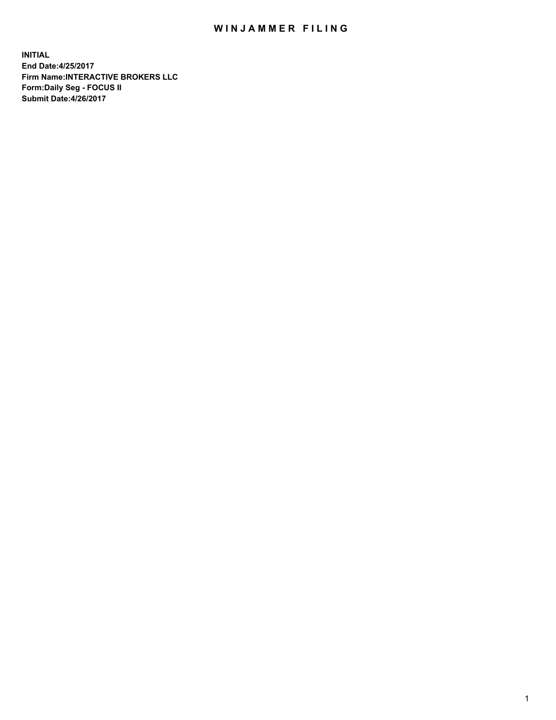## WIN JAMMER FILING

**INITIAL End Date:4/25/2017 Firm Name:INTERACTIVE BROKERS LLC Form:Daily Seg - FOCUS II Submit Date:4/26/2017**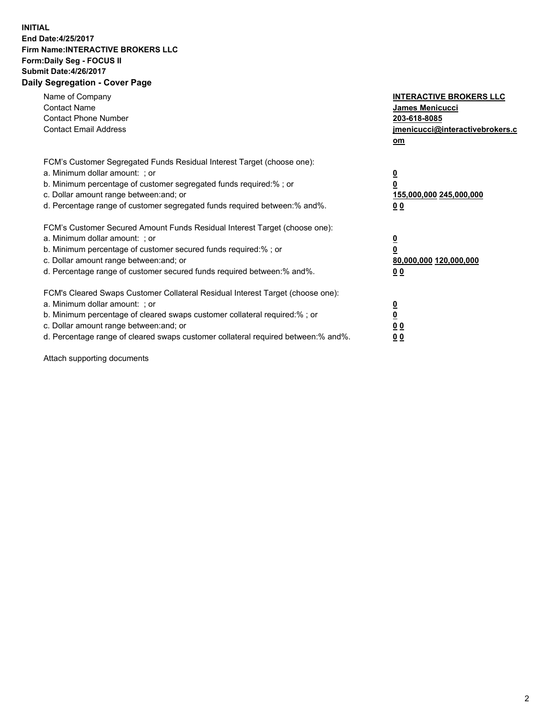## **INITIAL End Date:4/25/2017 Firm Name:INTERACTIVE BROKERS LLC Form:Daily Seg - FOCUS II Submit Date:4/26/2017 Daily Segregation - Cover Page**

| Name of Company<br><b>Contact Name</b><br><b>Contact Phone Number</b><br><b>Contact Email Address</b>                                                                                                                                                                                                                          | <b>INTERACTIVE BROKERS LLC</b><br>James Menicucci<br>203-618-8085<br><u>jmenicucci@interactivebrokers.c</u><br>om |
|--------------------------------------------------------------------------------------------------------------------------------------------------------------------------------------------------------------------------------------------------------------------------------------------------------------------------------|-------------------------------------------------------------------------------------------------------------------|
| FCM's Customer Segregated Funds Residual Interest Target (choose one):<br>a. Minimum dollar amount: ; or<br>b. Minimum percentage of customer segregated funds required:%; or<br>c. Dollar amount range between: and; or<br>d. Percentage range of customer segregated funds required between:% and%.                          | $\overline{\mathbf{0}}$<br>0<br>155,000,000 245,000,000<br>0 <sub>0</sub>                                         |
| FCM's Customer Secured Amount Funds Residual Interest Target (choose one):<br>a. Minimum dollar amount: ; or<br>b. Minimum percentage of customer secured funds required:%; or<br>c. Dollar amount range between: and; or<br>d. Percentage range of customer secured funds required between:% and%.                            | $\overline{\mathbf{0}}$<br>$\overline{\mathbf{0}}$<br>80,000,000 120,000,000<br>00                                |
| FCM's Cleared Swaps Customer Collateral Residual Interest Target (choose one):<br>a. Minimum dollar amount: ; or<br>b. Minimum percentage of cleared swaps customer collateral required:% ; or<br>c. Dollar amount range between: and; or<br>d. Percentage range of cleared swaps customer collateral required between:% and%. | $\overline{\mathbf{0}}$<br>$\overline{\mathbf{0}}$<br>0 <sub>0</sub><br><u>00</u>                                 |

Attach supporting documents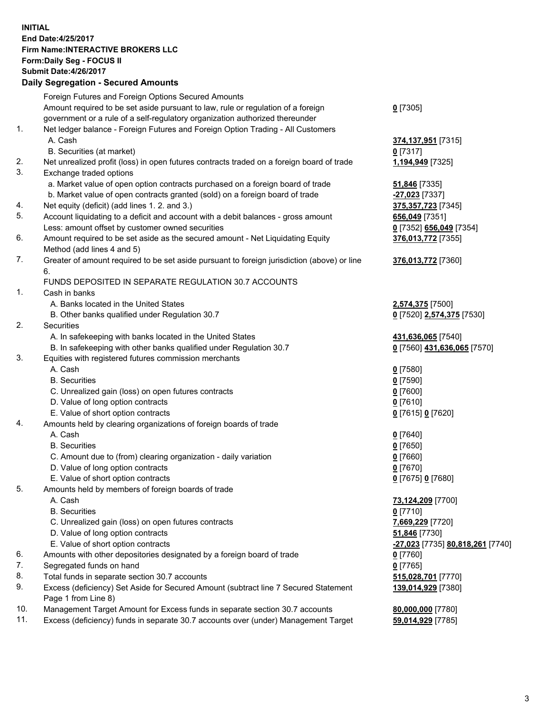## **INITIAL End Date:4/25/2017 Firm Name:INTERACTIVE BROKERS LLC Form:Daily Seg - FOCUS II Submit Date:4/26/2017**

|     | Submit Date:4/26/2017<br><b>Daily Segregation - Secured Amounts</b>                                          |                                                |
|-----|--------------------------------------------------------------------------------------------------------------|------------------------------------------------|
|     |                                                                                                              |                                                |
|     | Foreign Futures and Foreign Options Secured Amounts                                                          |                                                |
|     | Amount required to be set aside pursuant to law, rule or regulation of a foreign                             | $0$ [7305]                                     |
|     | government or a rule of a self-regulatory organization authorized thereunder                                 |                                                |
| 1.  | Net ledger balance - Foreign Futures and Foreign Option Trading - All Customers                              |                                                |
|     | A. Cash                                                                                                      | 374,137,951 [7315]                             |
|     | B. Securities (at market)                                                                                    | $0$ [7317]                                     |
| 2.  | Net unrealized profit (loss) in open futures contracts traded on a foreign board of trade                    | 1,194,949 [7325]                               |
| 3.  | Exchange traded options                                                                                      |                                                |
|     | a. Market value of open option contracts purchased on a foreign board of trade                               | <b>51,846</b> [7335]                           |
|     | b. Market value of open contracts granted (sold) on a foreign board of trade                                 | -27,023 [7337]                                 |
| 4.  | Net equity (deficit) (add lines 1.2. and 3.)                                                                 | 375, 357, 723 [7345]                           |
| 5.  | Account liquidating to a deficit and account with a debit balances - gross amount                            | 656,049 [7351]                                 |
|     | Less: amount offset by customer owned securities                                                             | 0 [7352] 656,049 [7354]                        |
| 6.  | Amount required to be set aside as the secured amount - Net Liquidating Equity<br>Method (add lines 4 and 5) | 376,013,772 [7355]                             |
| 7.  | Greater of amount required to be set aside pursuant to foreign jurisdiction (above) or line                  | 376,013,772 [7360]                             |
|     | 6.                                                                                                           |                                                |
|     | FUNDS DEPOSITED IN SEPARATE REGULATION 30.7 ACCOUNTS                                                         |                                                |
| 1.  | Cash in banks                                                                                                |                                                |
|     | A. Banks located in the United States                                                                        | 2,574,375 [7500]                               |
|     | B. Other banks qualified under Regulation 30.7                                                               | 0 [7520] 2,574,375 [7530]                      |
| 2.  | Securities                                                                                                   |                                                |
|     | A. In safekeeping with banks located in the United States                                                    | 431,636,065 [7540]                             |
|     | B. In safekeeping with other banks qualified under Regulation 30.7                                           | 0 [7560] 431,636,065 [7570]                    |
| 3.  | Equities with registered futures commission merchants                                                        |                                                |
|     | A. Cash                                                                                                      | $0$ [7580]                                     |
|     | <b>B.</b> Securities                                                                                         | $0$ [7590]                                     |
|     | C. Unrealized gain (loss) on open futures contracts                                                          | $0$ [7600]                                     |
|     | D. Value of long option contracts                                                                            | $0$ [7610]                                     |
|     | E. Value of short option contracts                                                                           | 0 [7615] 0 [7620]                              |
| 4.  | Amounts held by clearing organizations of foreign boards of trade                                            |                                                |
|     | A. Cash                                                                                                      | $0$ [7640]                                     |
|     | <b>B.</b> Securities                                                                                         | $0$ [7650]                                     |
|     | C. Amount due to (from) clearing organization - daily variation                                              | $0$ [7660]                                     |
|     | D. Value of long option contracts                                                                            | $0$ [7670]                                     |
|     | E. Value of short option contracts                                                                           | 0 [7675] 0 [7680]                              |
| 5.  | Amounts held by members of foreign boards of trade                                                           |                                                |
|     | A. Cash                                                                                                      | 73,124,209 [7700]                              |
|     | <b>B.</b> Securities                                                                                         | $0$ [7710]                                     |
|     | C. Unrealized gain (loss) on open futures contracts                                                          | 7,669,229 [7720]                               |
|     | D. Value of long option contracts                                                                            | 51,846 [7730]                                  |
|     | E. Value of short option contracts                                                                           | <u>-27,023</u> [7735] <b>80,818,261</b> [7740] |
| 6.  | Amounts with other depositories designated by a foreign board of trade                                       | $0$ [7760]                                     |
| 7.  | Segregated funds on hand                                                                                     | $0$ [7765]                                     |
| 8.  | Total funds in separate section 30.7 accounts                                                                | 515,028,701 [7770]                             |
| 9.  | Excess (deficiency) Set Aside for Secured Amount (subtract line 7 Secured Statement<br>Page 1 from Line 8)   | 139,014,929 [7380]                             |
| 10. | Management Target Amount for Excess funds in separate section 30.7 accounts                                  | 80,000,000 [7780]                              |
| 11. | Excess (deficiency) funds in separate 30.7 accounts over (under) Management Target                           | 59,014,929 [7785]                              |
|     |                                                                                                              |                                                |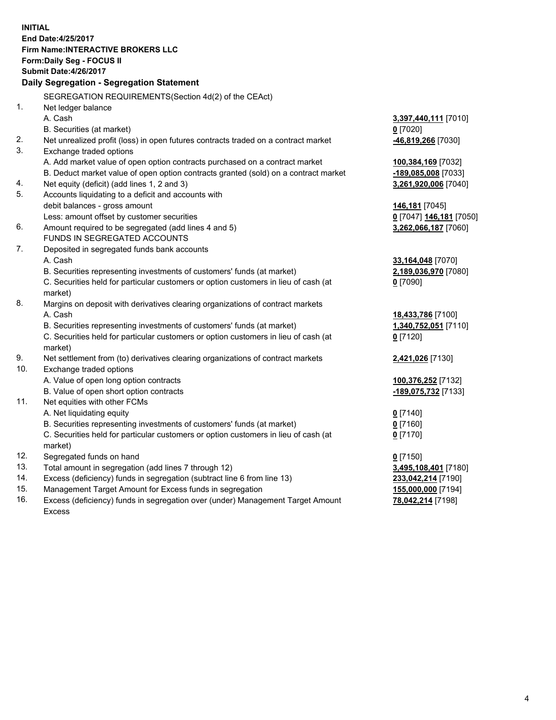**INITIAL End Date:4/25/2017 Firm Name:INTERACTIVE BROKERS LLC Form:Daily Seg - FOCUS II Submit Date:4/26/2017 Daily Segregation - Segregation Statement** SEGREGATION REQUIREMENTS(Section 4d(2) of the CEAct) 1. Net ledger balance A. Cash **3,397,440,111** [7010] B. Securities (at market) **0** [7020] 2. Net unrealized profit (loss) in open futures contracts traded on a contract market **-46,819,266** [7030] 3. Exchange traded options A. Add market value of open option contracts purchased on a contract market **100,384,169** [7032] B. Deduct market value of open option contracts granted (sold) on a contract market **-189,085,008** [7033] 4. Net equity (deficit) (add lines 1, 2 and 3) **3,261,920,006** [7040] 5. Accounts liquidating to a deficit and accounts with debit balances - gross amount **146,181** [7045] Less: amount offset by customer securities **0** [7047] **146,181** [7050] 6. Amount required to be segregated (add lines 4 and 5) **3,262,066,187** [7060] FUNDS IN SEGREGATED ACCOUNTS 7. Deposited in segregated funds bank accounts A. Cash **33,164,048** [7070] B. Securities representing investments of customers' funds (at market) **2,189,036,970** [7080] C. Securities held for particular customers or option customers in lieu of cash (at market) **0** [7090] 8. Margins on deposit with derivatives clearing organizations of contract markets A. Cash **18,433,786** [7100] B. Securities representing investments of customers' funds (at market) **1,340,752,051** [7110] C. Securities held for particular customers or option customers in lieu of cash (at market) **0** [7120] 9. Net settlement from (to) derivatives clearing organizations of contract markets **2,421,026** [7130] 10. Exchange traded options A. Value of open long option contracts **100,376,252** [7132] B. Value of open short option contracts **-189,075,732** [7133] 11. Net equities with other FCMs A. Net liquidating equity **0** [7140] B. Securities representing investments of customers' funds (at market) **0** [7160] C. Securities held for particular customers or option customers in lieu of cash (at market) **0** [7170] 12. Segregated funds on hand **0** [7150] 13. Total amount in segregation (add lines 7 through 12) **3,495,108,401** [7180] 14. Excess (deficiency) funds in segregation (subtract line 6 from line 13) **233,042,214** [7190] 15. Management Target Amount for Excess funds in segregation **155,000,000** [7194]

16. Excess (deficiency) funds in segregation over (under) Management Target Amount Excess

**78,042,214** [7198]